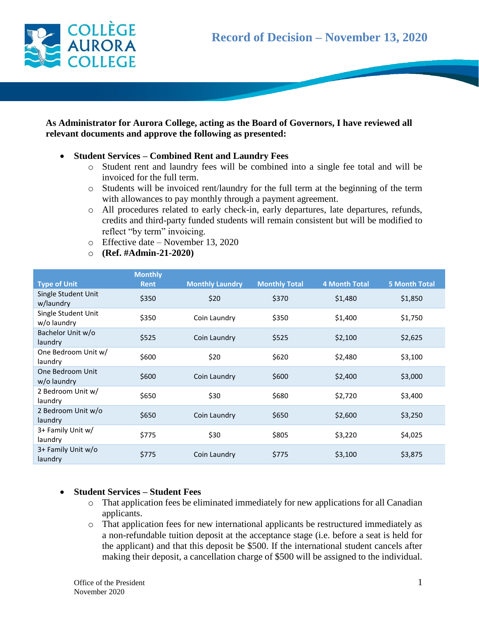

## **As Administrator for Aurora College, acting as the Board of Governors, I have reviewed all relevant documents and approve the following as presented:**

- **Student Services – Combined Rent and Laundry Fees**
	- o Student rent and laundry fees will be combined into a single fee total and will be invoiced for the full term.
	- o Students will be invoiced rent/laundry for the full term at the beginning of the term with allowances to pay monthly through a payment agreement.
	- o All procedures related to early check-in, early departures, late departures, refunds, credits and third-party funded students will remain consistent but will be modified to reflect "by term" invoicing.
	- o Effective date November 13, 2020
	- o **(Ref. #Admin-21-2020)**

|                                    | <b>Monthly</b> |                        |                      |                      |                      |
|------------------------------------|----------------|------------------------|----------------------|----------------------|----------------------|
| <b>Type of Unit</b>                | <b>Rent</b>    | <b>Monthly Laundry</b> | <b>Monthly Total</b> | <b>4 Month Total</b> | <b>5 Month Total</b> |
| Single Student Unit<br>w/laundry   | \$350          | \$20                   | \$370                | \$1,480              | \$1,850              |
| Single Student Unit<br>w/o laundry | \$350          | Coin Laundry           | \$350                | \$1,400              | \$1,750              |
| Bachelor Unit w/o<br>laundry       | \$525          | Coin Laundry           | \$525                | \$2,100              | \$2,625              |
| One Bedroom Unit w/<br>laundry     | \$600          | \$20                   | \$620                | \$2,480              | \$3,100              |
| One Bedroom Unit<br>w/o laundry    | \$600          | Coin Laundry           | \$600                | \$2,400              | \$3,000              |
| 2 Bedroom Unit w/<br>laundry       | \$650          | \$30                   | \$680                | \$2,720              | \$3,400              |
| 2 Bedroom Unit w/o<br>laundry      | \$650          | Coin Laundry           | \$650                | \$2,600              | \$3,250              |
| 3+ Family Unit w/<br>laundry       | \$775          | \$30                   | \$805                | \$3,220              | \$4,025              |
| 3+ Family Unit w/o<br>laundry      | \$775          | Coin Laundry           | \$775                | \$3,100              | \$3,875              |

## **Student Services – Student Fees**

- o That application fees be eliminated immediately for new applications for all Canadian applicants.
- o That application fees for new international applicants be restructured immediately as a non-refundable tuition deposit at the acceptance stage (i.e. before a seat is held for the applicant) and that this deposit be \$500. If the international student cancels after making their deposit, a cancellation charge of \$500 will be assigned to the individual.